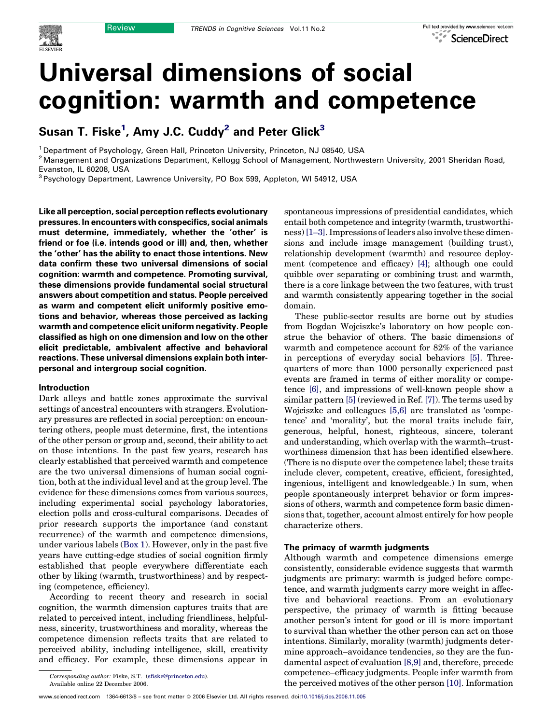

# Universal dimensions of social cognition: warmth and competence

Susan T. Fiske $^1$ , Amy J.C. Cuddy $^2$  and Peter Glick $^3$ 

<sup>1</sup> Department of Psychology, Green Hall, Princeton University, Princeton, NJ 08540, USA

<sup>2</sup> Management and Organizations Department, Kellogg School of Management, Northwestern University, 2001 Sheridan Road, Evanston, IL 60208, USA

<sup>3</sup> Psychology Department, Lawrence University, PO Box 599, Appleton, WI 54912, USA

Like all perception, social perception reflects evolutionary pressures. In encounters with conspecifics, social animals must determine, immediately, whether the 'other' is friend or foe (i.e. intends good or ill) and, then, whether the 'other' has the ability to enact those intentions. New data confirm these two universal dimensions of social cognition: warmth and competence. Promoting survival, these dimensions provide fundamental social structural answers about competition and status. People perceived as warm and competent elicit uniformly positive emotions and behavior, whereas those perceived as lacking warmth and competence elicit uniform negativity. People classified as high on one dimension and low on the other elicit predictable, ambivalent affective and behavioral reactions. These universal dimensions explain both interpersonal and intergroup social cognition.

#### Introduction

Dark alleys and battle zones approximate the survival settings of ancestral encounters with strangers. Evolutionary pressures are reflected in social perception: on encountering others, people must determine, first, the intentions of the other person or group and, second, their ability to act on those intentions. In the past few years, research has clearly established that perceived warmth and competence are the two universal dimensions of human social cognition, both at the individual level and at the group level. The evidence for these dimensions comes from various sources, including experimental social psychology laboratories, election polls and cross-cultural comparisons. Decades of prior research supports the importance (and constant recurrence) of the warmth and competence dimensions, under various labels [\(Box 1](#page-1-0)). However, only in the past five years have cutting-edge studies of social cognition firmly established that people everywhere differentiate each other by liking (warmth, trustworthiness) and by respecting (competence, efficiency).

According to recent theory and research in social cognition, the warmth dimension captures traits that are related to perceived intent, including friendliness, helpfulness, sincerity, trustworthiness and morality, whereas the competence dimension reflects traits that are related to perceived ability, including intelligence, skill, creativity and efficacy. For example, these dimensions appear in

spontaneous impressions of presidential candidates, which entail both competence and integrity (warmth, trustworthiness) [\[1–3\].](#page-5-0) Impressions of leaders also involve these dimensions and include image management (building trust), relationship development (warmth) and resource deployment (competence and efficacy) [\[4\];](#page-5-0) although one could quibble over separating or combining trust and warmth, there is a core linkage between the two features, with trust and warmth consistently appearing together in the social domain.

These public-sector results are borne out by studies from Bogdan Wojciszke's laboratory on how people construe the behavior of others. The basic dimensions of warmth and competence account for 82% of the variance in perceptions of everyday social behaviors [\[5\]](#page-5-0). Threequarters of more than 1000 personally experienced past events are framed in terms of either morality or competence [\[6\],](#page-5-0) and impressions of well-known people show a similar pattern [\[5\]](#page-5-0) (reviewed in Ref. [\[7\]\)](#page-5-0). The terms used by Wojciszke and colleagues [\[5,6\]](#page-5-0) are translated as 'competence' and 'morality', but the moral traits include fair, generous, helpful, honest, righteous, sincere, tolerant and understanding, which overlap with the warmth–trustworthiness dimension that has been identified elsewhere. (There is no dispute over the competence label; these traits include clever, competent, creative, efficient, foresighted, ingenious, intelligent and knowledgeable.) In sum, when people spontaneously interpret behavior or form impressions of others, warmth and competence form basic dimensions that, together, account almost entirely for how people characterize others.

#### The primacy of warmth judgments

Although warmth and competence dimensions emerge consistently, considerable evidence suggests that warmth judgments are primary: warmth is judged before competence, and warmth judgments carry more weight in affective and behavioral reactions. From an evolutionary perspective, the primacy of warmth is fitting because another person's intent for good or ill is more important to survival than whether the other person can act on those intentions. Similarly, morality (warmth) judgments determine approach–avoidance tendencies, so they are the fundamental aspect of evaluation [\[8,9\]](#page-5-0) and, therefore, precede competence–efficacy judgments. People infer warmth from the perceived motives of the other person [\[10\].](#page-5-0) Information

Corresponding author: Fiske, S.T. [\(sfiske@princeton.edu\)](mailto:sfiske@princeton.edu). Available online 22 December 2006.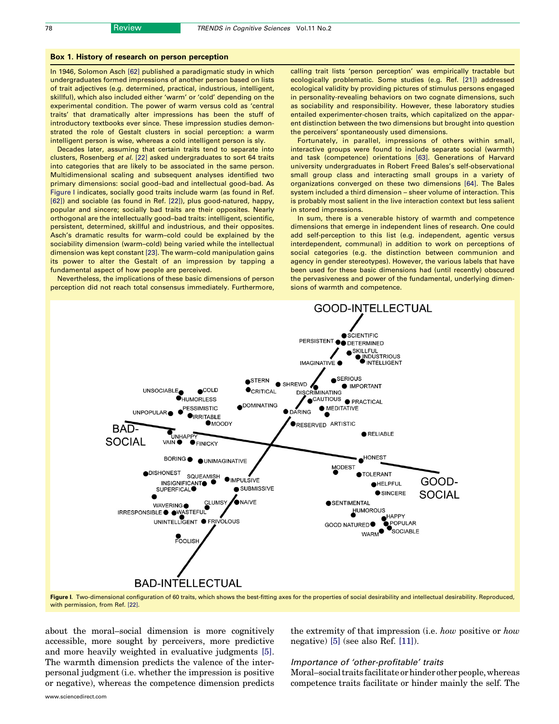#### <span id="page-1-0"></span>Box 1. History of research on person perception

In 1946, Solomon Asch [\[62\]](#page-6-0) published a paradigmatic study in which undergraduates formed impressions of another person based on lists of trait adjectives (e.g. determined, practical, industrious, intelligent, skillful), which also included either 'warm' or 'cold' depending on the experimental condition. The power of warm versus cold as 'central traits' that dramatically alter impressions has been the stuff of introductory textbooks ever since. These impression studies demonstrated the role of Gestalt clusters in social perception: a warm intelligent person is wise, whereas a cold intelligent person is sly.

Decades later, assuming that certain traits tend to separate into clusters, Rosenberg et al. [\[22\]](#page-5-0) asked undergraduates to sort 64 traits into categories that are likely to be associated in the same person. Multidimensional scaling and subsequent analyses identified two primary dimensions: social good–bad and intellectual good–bad. As Figure I indicates, socially good traits include warm (as found in Ref. [\[62\]\)](#page-6-0) and sociable (as found in Ref. [\[22\]](#page-5-0)), plus good-natured, happy, popular and sincere; socially bad traits are their opposites. Nearly orthogonal are the intellectually good–bad traits: intelligent, scientific, persistent, determined, skillful and industrious, and their opposites. Asch's dramatic results for warm–cold could be explained by the sociability dimension (warm–cold) being varied while the intellectual dimension was kept constant [\[23\].](#page-5-0) The warm–cold manipulation gains its power to alter the Gestalt of an impression by tapping a fundamental aspect of how people are perceived.

Nevertheless, the implications of these basic dimensions of person perception did not reach total consensus immediately. Furthermore,

calling trait lists 'person perception' was empirically tractable but ecologically problematic. Some studies (e.g. Ref. [\[21\]](#page-5-0)) addressed ecological validity by providing pictures of stimulus persons engaged in personality-revealing behaviors on two cognate dimensions, such as sociability and responsibility. However, these laboratory studies entailed experimenter-chosen traits, which capitalized on the apparent distinction between the two dimensions but brought into question the perceivers' spontaneously used dimensions.

Fortunately, in parallel, impressions of others within small, interactive groups were found to include separate social (warmth) and task (competence) orientations [\[63\]](#page-6-0). Generations of Harvard university undergraduates in Robert Freed Bales's self-observational small group class and interacting small groups in a variety of organizations converged on these two dimensions [\[64\]](#page-6-0). The Bales system included a third dimension – sheer volume of interaction. This is probably most salient in the live interaction context but less salient in stored impressions.

In sum, there is a venerable history of warmth and competence dimensions that emerge in independent lines of research. One could add self-perception to this list (e.g. independent, agentic versus interdependent, communal) in addition to work on perceptions of social categories (e.g. the distinction between communion and agency in gender stereotypes). However, the various labels that have been used for these basic dimensions had (until recently) obscured the pervasiveness and power of the fundamental, underlying dimensions of warmth and competence.



Figure I. Two-dimensional configuration of 60 traits, which shows the best-fitting axes for the properties of social desirability and intellectual desirability. Reproduced, with permission, from Ref. [\[22\]](#page-5-0).

about the moral–social dimension is more cognitively accessible, more sought by perceivers, more predictive and more heavily weighted in evaluative judgments [\[5\]](#page-5-0). The warmth dimension predicts the valence of the interpersonal judgment (i.e. whether the impression is positive or negative), whereas the competence dimension predicts the extremity of that impression (i.e. how positive or how negative) [\[5\]](#page-5-0) (see also Ref. [\[11\]\)](#page-5-0).

#### Importance of 'other-profitable' traits

Moral–social traits facilitate or hinder other people, whereas competence traits facilitate or hinder mainly the self. The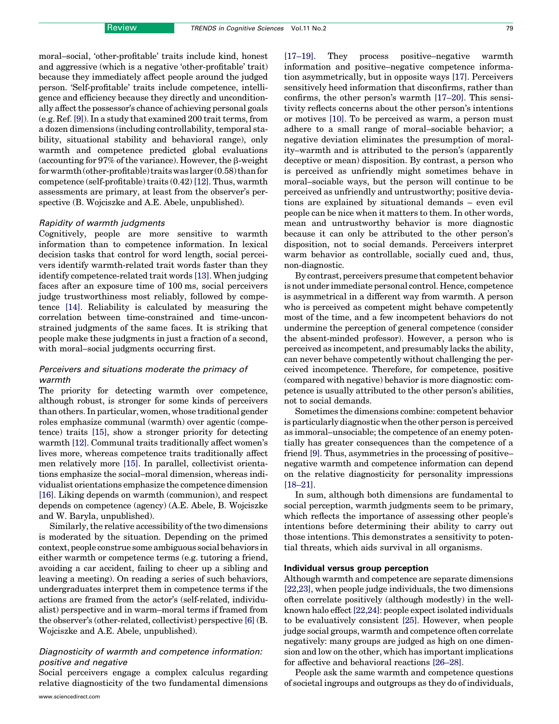moral–social, 'other-profitable' traits include kind, honest and aggressive (which is a negative 'other-profitable' trait) because they immediately affect people around the judged person. 'Self-profitable' traits include competence, intelligence and efficiency because they directly and unconditionally affect the possessor's chance of achieving personal goals (e.g. Ref. [\[9\]\)](#page-5-0). In a study that examined 200 trait terms, from a dozen dimensions (including controllability, temporal stability, situational stability and behavioral range), only warmth and competence predicted global evaluations (accounting for  $97\%$  of the variance). However, the  $\beta$ -weight for warmth (other-profitable) traits was larger (0.58) than for competence (self-profitable) traits (0.42) [\[12\].](#page-5-0) Thus, warmth assessments are primary, at least from the observer's perspective (B. Wojciszke and A.E. Abele, unpublished).

#### Rapidity of warmth judgments

Cognitively, people are more sensitive to warmth information than to competence information. In lexical decision tasks that control for word length, social perceivers identify warmth-related trait words faster than they identify competence-related trait words [\[13\]](#page-5-0). When judging faces after an exposure time of 100 ms, social perceivers judge trustworthiness most reliably, followed by competence [\[14\].](#page-5-0) Reliability is calculated by measuring the correlation between time-constrained and time-unconstrained judgments of the same faces. It is striking that people make these judgments in just a fraction of a second, with moral–social judgments occurring first.

### Perceivers and situations moderate the primacy of warmth

The priority for detecting warmth over competence, although robust, is stronger for some kinds of perceivers than others. In particular, women, whose traditional gender roles emphasize communal (warmth) over agentic (competence) traits [\[15\]](#page-5-0), show a stronger priority for detecting warmth [\[12\]](#page-5-0). Communal traits traditionally affect women's lives more, whereas competence traits traditionally affect men relatively more [\[15\]](#page-5-0). In parallel, collectivist orientations emphasize the social–moral dimension, whereas individualist orientations emphasize the competence dimension [\[16\].](#page-5-0) Liking depends on warmth (communion), and respect depends on competence (agency) (A.E. Abele, B. Wojciszke and W. Baryla, unpublished).

Similarly, the relative accessibility of the two dimensions is moderated by the situation. Depending on the primed context, people construe some ambiguous social behaviors in either warmth or competence terms (e.g. tutoring a friend, avoiding a car accident, failing to cheer up a sibling and leaving a meeting). On reading a series of such behaviors, undergraduates interpret them in competence terms if the actions are framed from the actor's (self-related, individualist) perspective and in warm–moral terms if framed from the observer's (other-related, collectivist) perspective [\[6\]](#page-5-0) (B. Wojciszke and A.E. Abele, unpublished).

# Diagnosticity of warmth and competence information: positive and negative

Social perceivers engage a complex calculus regarding relative diagnosticity of the two fundamental dimensions

www.sciencedirect.com

[\[17–19\].](#page-5-0) They process positive–negative warmth information and positive–negative competence information asymmetrically, but in opposite ways [\[17\]](#page-5-0). Perceivers sensitively heed information that disconfirms, rather than confirms, the other person's warmth [\[17–20\]](#page-5-0). This sensitivity reflects concerns about the other person's intentions or motives [\[10\]](#page-5-0). To be perceived as warm, a person must adhere to a small range of moral–sociable behavior; a negative deviation eliminates the presumption of morality–warmth and is attributed to the person's (apparently deceptive or mean) disposition. By contrast, a person who is perceived as unfriendly might sometimes behave in moral–sociable ways, but the person will continue to be perceived as unfriendly and untrustworthy; positive deviations are explained by situational demands – even evil people can be nice when it matters to them. In other words, mean and untrustworthy behavior is more diagnostic because it can only be attributed to the other person's disposition, not to social demands. Perceivers interpret warm behavior as controllable, socially cued and, thus, non-diagnostic.

By contrast, perceivers presume that competent behavior is not under immediate personal control. Hence, competence is asymmetrical in a different way from warmth. A person who is perceived as competent might behave competently most of the time, and a few incompetent behaviors do not undermine the perception of general competence (consider the absent-minded professor). However, a person who is perceived as incompetent, and presumably lacks the ability, can never behave competently without challenging the perceived incompetence. Therefore, for competence, positive (compared with negative) behavior is more diagnostic: competence is usually attributed to the other person's abilities, not to social demands.

Sometimes the dimensions combine: competent behavior is particularly diagnostic when the other person is perceived as immoral–unsociable; the competence of an enemy potentially has greater consequences than the competence of a friend [\[9\].](#page-5-0) Thus, asymmetries in the processing of positive– negative warmth and competence information can depend on the relative diagnosticity for personality impressions [\[18–21\]](#page-5-0).

In sum, although both dimensions are fundamental to social perception, warmth judgments seem to be primary, which reflects the importance of assessing other people's intentions before determining their ability to carry out those intentions. This demonstrates a sensitivity to potential threats, which aids survival in all organisms.

#### Individual versus group perception

Although warmth and competence are separate dimensions [\[22,23\],](#page-5-0) when people judge individuals, the two dimensions often correlate positively (although modestly) in the wellknown halo effect[\[22,24\]](#page-5-0): people expect isolated individuals to be evaluatively consistent [\[25\]](#page-5-0). However, when people judge social groups, warmth and competence often correlate negatively: many groups are judged as high on one dimension and low on the other, which has important implications for affective and behavioral reactions [\[26–28\].](#page-5-0)

People ask the same warmth and competence questions of societal ingroups and outgroups as they do of individuals,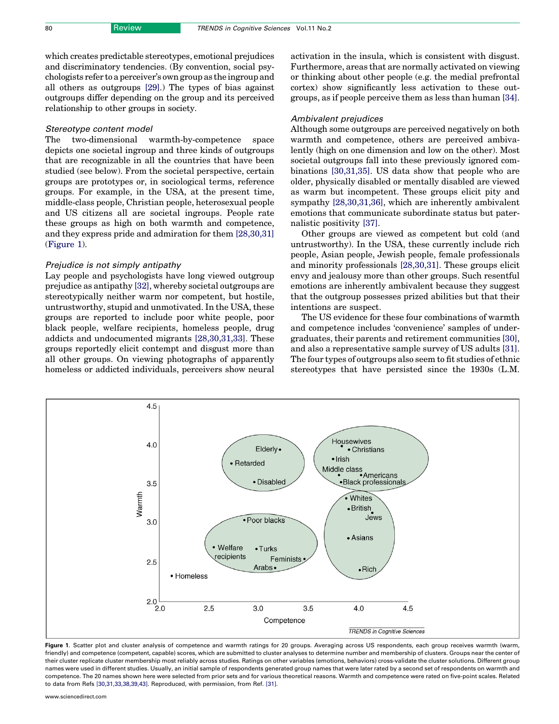which creates predictable stereotypes, emotional prejudices and discriminatory tendencies. (By convention, social psychologists refer to a perceiver's own group as the ingroup and all others as outgroups [\[29\]](#page-6-0).) The types of bias against outgroups differ depending on the group and its perceived relationship to other groups in society.

#### Stereotype content model

The two-dimensional warmth-by-competence space depicts one societal ingroup and three kinds of outgroups that are recognizable in all the countries that have been studied (see below). From the societal perspective, certain groups are prototypes or, in sociological terms, reference groups. For example, in the USA, at the present time, middle-class people, Christian people, heterosexual people and US citizens all are societal ingroups. People rate these groups as high on both warmth and competence, and they express pride and admiration for them [\[28,30,31\]](#page-5-0) (Figure 1).

#### Prejudice is not simply antipathy

Lay people and psychologists have long viewed outgroup prejudice as antipathy [\[32\],](#page-6-0) whereby societal outgroups are stereotypically neither warm nor competent, but hostile, untrustworthy, stupid and unmotivated. In the USA, these groups are reported to include poor white people, poor black people, welfare recipients, homeless people, drug addicts and undocumented migrants [\[28,30,31,33\]](#page-5-0). These groups reportedly elicit contempt and disgust more than all other groups. On viewing photographs of apparently homeless or addicted individuals, perceivers show neural activation in the insula, which is consistent with disgust. Furthermore, areas that are normally activated on viewing or thinking about other people (e.g. the medial prefrontal cortex) show significantly less activation to these outgroups, as if people perceive them as less than human [\[34\]](#page-6-0).

#### Ambivalent prejudices

Although some outgroups are perceived negatively on both warmth and competence, others are perceived ambivalently (high on one dimension and low on the other). Most societal outgroups fall into these previously ignored combinations [\[30,31,35\].](#page-6-0) US data show that people who are older, physically disabled or mentally disabled are viewed as warm but incompetent. These groups elicit pity and sympathy [\[28,30,31,36\]](#page-5-0), which are inherently ambivalent emotions that communicate subordinate status but paternalistic positivity [\[37\]](#page-6-0).

Other groups are viewed as competent but cold (and untrustworthy). In the USA, these currently include rich people, Asian people, Jewish people, female professionals and minority professionals [\[28,30,31\]](#page-5-0). These groups elicit envy and jealousy more than other groups. Such resentful emotions are inherently ambivalent because they suggest that the outgroup possesses prized abilities but that their intentions are suspect.

The US evidence for these four combinations of warmth and competence includes 'convenience' samples of undergraduates, their parents and retirement communities [\[30\]](#page-6-0), and also a representative sample survey of US adults [\[31\]](#page-6-0). The four types of outgroups also seem to fit studies of ethnic stereotypes that have persisted since the 1930s (L.M.



Figure 1. Scatter plot and cluster analysis of competence and warmth ratings for 20 groups. Averaging across US respondents, each group receives warmth (warm, friendly) and competence (competent, capable) scores, which are submitted to cluster analyses to determine number and membership of clusters. Groups near the center of their cluster replicate cluster membership most reliably across studies. Ratings on other variables (emotions, behaviors) cross-validate the cluster solutions. Different group names were used in different studies. Usually, an initial sample of respondents generated group names that were later rated by a second set of respondents on warmth and competence. The 20 names shown here were selected from prior sets and for various theoretical reasons. Warmth and competence were rated on five-point scales. Related to data from Refs [\[30,31,33,38,39,43\].](#page-6-0) Reproduced, with permission, from Ref. [\[31\].](#page-6-0)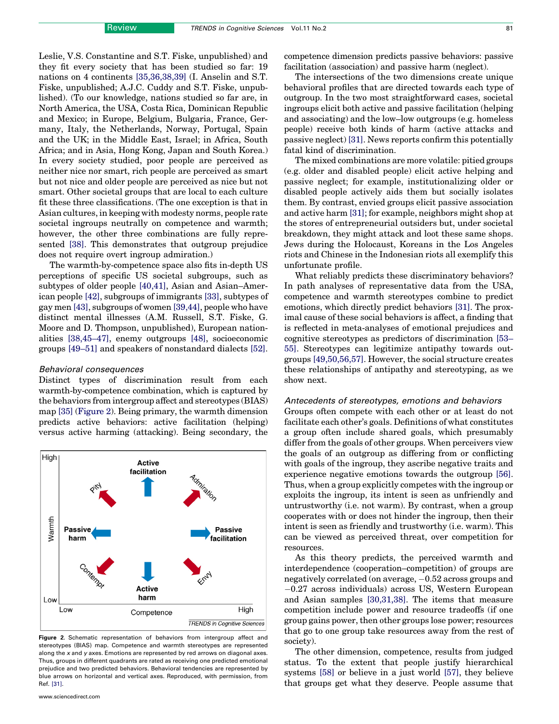Leslie, V.S. Constantine and S.T. Fiske, unpublished) and they fit every society that has been studied so far: 19 nations on 4 continents [\[35,36,38,39\]](#page-6-0) (I. Anselin and S.T. Fiske, unpublished; A.J.C. Cuddy and S.T. Fiske, unpublished). (To our knowledge, nations studied so far are, in North America, the USA, Costa Rica, Dominican Republic and Mexico; in Europe, Belgium, Bulgaria, France, Germany, Italy, the Netherlands, Norway, Portugal, Spain and the UK; in the Middle East, Israel; in Africa, South Africa; and in Asia, Hong Kong, Japan and South Korea.) In every society studied, poor people are perceived as neither nice nor smart, rich people are perceived as smart but not nice and older people are perceived as nice but not smart. Other societal groups that are local to each culture fit these three classifications. (The one exception is that in Asian cultures, in keeping with modesty norms, people rate societal ingroups neutrally on competence and warmth; however, the other three combinations are fully represented [\[38\]](#page-6-0). This demonstrates that outgroup prejudice does not require overt ingroup admiration.)

The warmth-by-competence space also fits in-depth US perceptions of specific US societal subgroups, such as subtypes of older people [\[40,41\],](#page-6-0) Asian and Asian–American people [\[42\]](#page-6-0), subgroups of immigrants [\[33\]](#page-6-0), subtypes of gay men [\[43\],](#page-6-0) subgroups of women [\[39,44\]](#page-6-0), people who have distinct mental illnesses (A.M. Russell, S.T. Fiske, G. Moore and D. Thompson, unpublished), European nationalities [\[38,45–47\],](#page-6-0) enemy outgroups [\[48\],](#page-6-0) socioeconomic groups [\[49–51\]](#page-6-0) and speakers of nonstandard dialects [\[52\]](#page-6-0).

#### Behavioral consequences

Distinct types of discrimination result from each warmth-by-competence combination, which is captured by the behaviors from intergroup affect and stereotypes (BIAS) map [\[35\]](#page-6-0) (Figure 2). Being primary, the warmth dimension predicts active behaviors: active facilitation (helping) versus active harming (attacking). Being secondary, the



Figure 2. Schematic representation of behaviors from intergroup affect and stereotypes (BIAS) map. Competence and warmth stereotypes are represented along the x and y axes. Emotions are represented by red arrows on diagonal axes. Thus, groups in different quadrants are rated as receiving one predicted emotional prejudice and two predicted behaviors. Behavioral tendencies are represented by blue arrows on horizontal and vertical axes. Reproduced, with permission, from Ref. [\[31\].](#page-6-0)

competence dimension predicts passive behaviors: passive facilitation (association) and passive harm (neglect).

The intersections of the two dimensions create unique behavioral profiles that are directed towards each type of outgroup. In the two most straightforward cases, societal ingroups elicit both active and passive facilitation (helping and associating) and the low–low outgroups (e.g. homeless people) receive both kinds of harm (active attacks and passive neglect) [\[31\]](#page-6-0). News reports confirm this potentially fatal kind of discrimination.

The mixed combinations are more volatile: pitied groups (e.g. older and disabled people) elicit active helping and passive neglect; for example, institutionalizing older or disabled people actively aids them but socially isolates them. By contrast, envied groups elicit passive association and active harm [\[31\];](#page-6-0) for example, neighbors might shop at the stores of entrepreneurial outsiders but, under societal breakdown, they might attack and loot these same shops. Jews during the Holocaust, Koreans in the Los Angeles riots and Chinese in the Indonesian riots all exemplify this unfortunate profile.

What reliably predicts these discriminatory behaviors? In path analyses of representative data from the USA, competence and warmth stereotypes combine to predict emotions, which directly predict behaviors [\[31\]](#page-6-0). The proximal cause of these social behaviors is affect, a finding that is reflected in meta-analyses of emotional prejudices and cognitive stereotypes as predictors of discrimination [\[53–](#page-6-0) [55\]](#page-6-0). Stereotypes can legitimize antipathy towards outgroups [\[49,50,56,57\].](#page-6-0) However, the social structure creates these relationships of antipathy and stereotyping, as we show next.

#### Antecedents of stereotypes, emotions and behaviors

Groups often compete with each other or at least do not facilitate each other's goals. Definitions of what constitutes a group often include shared goals, which presumably differ from the goals of other groups. When perceivers view the goals of an outgroup as differing from or conflicting with goals of the ingroup, they ascribe negative traits and experience negative emotions towards the outgroup [\[56\]](#page-6-0). Thus, when a group explicitly competes with the ingroup or exploits the ingroup, its intent is seen as unfriendly and untrustworthy (i.e. not warm). By contrast, when a group cooperates with or does not hinder the ingroup, then their intent is seen as friendly and trustworthy (i.e. warm). This can be viewed as perceived threat, over competition for resources.

As this theory predicts, the perceived warmth and interdependence (cooperation–competition) of groups are negatively correlated (on average, -0.52 across groups and -0.27 across individuals) across US, Western European and Asian samples [\[30,31,38\].](#page-6-0) The items that measure competition include power and resource tradeoffs (if one group gains power, then other groups lose power; resources that go to one group take resources away from the rest of society).

The other dimension, competence, results from judged status. To the extent that people justify hierarchical systems [\[58\]](#page-6-0) or believe in a just world [\[57\]](#page-6-0), they believe that groups get what they deserve. People assume that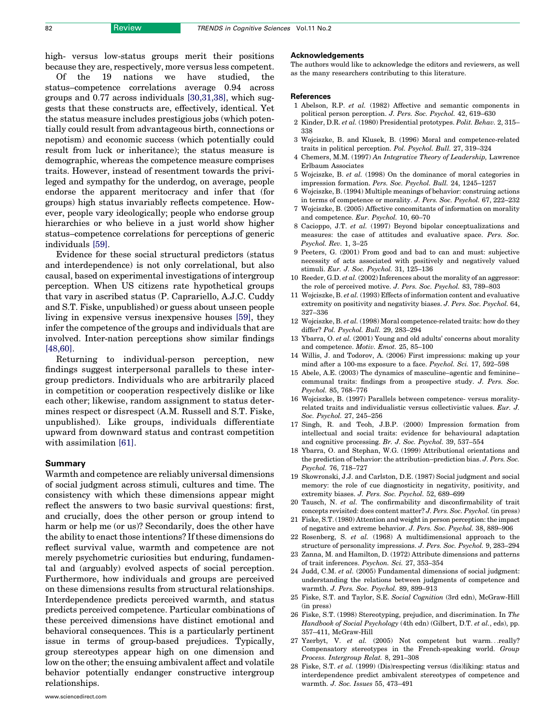<span id="page-5-0"></span>high- versus low-status groups merit their positions because they are, respectively, more versus less competent.

Of the 19 nations we have studied, the status–competence correlations average 0.94 across groups and 0.77 across individuals [\[30,31,38\],](#page-6-0) which suggests that these constructs are, effectively, identical. Yet the status measure includes prestigious jobs (which potentially could result from advantageous birth, connections or nepotism) and economic success (which potentially could result from luck or inheritance); the status measure is demographic, whereas the competence measure comprises traits. However, instead of resentment towards the privileged and sympathy for the underdog, on average, people endorse the apparent meritocracy and infer that (for groups) high status invariably reflects competence. However, people vary ideologically; people who endorse group hierarchies or who believe in a just world show higher status–competence correlations for perceptions of generic individuals [\[59\].](#page-6-0)

Evidence for these social structural predictors (status and interdependence) is not only correlational, but also causal, based on experimental investigations of intergroup perception. When US citizens rate hypothetical groups that vary in ascribed status (P. Caprariello, A.J.C. Cuddy and S.T. Fiske, unpublished) or guess about unseen people living in expensive versus inexpensive houses [\[59\]](#page-6-0), they infer the competence of the groups and individuals that are involved. Inter-nation perceptions show similar findings [\[48,60\]](#page-6-0).

Returning to individual-person perception, new findings suggest interpersonal parallels to these intergroup predictors. Individuals who are arbitrarily placed in competition or cooperation respectively dislike or like each other; likewise, random assignment to status determines respect or disrespect (A.M. Russell and S.T. Fiske, unpublished). Like groups, individuals differentiate upward from downward status and contrast competition with assimilation [\[61\].](#page-6-0)

#### Summary

Warmth and competence are reliably universal dimensions of social judgment across stimuli, cultures and time. The consistency with which these dimensions appear might reflect the answers to two basic survival questions: first, and crucially, does the other person or group intend to harm or help me (or us)? Secondarily, does the other have the ability to enact those intentions? If these dimensions do reflect survival value, warmth and competence are not merely psychometric curiosities but enduring, fundamental and (arguably) evolved aspects of social perception. Furthermore, how individuals and groups are perceived on these dimensions results from structural relationships. Interdependence predicts perceived warmth, and status predicts perceived competence. Particular combinations of these perceived dimensions have distinct emotional and behavioral consequences. This is a particularly pertinent issue in terms of group-based prejudices. Typically, group stereotypes appear high on one dimension and low on the other; the ensuing ambivalent affect and volatile behavior potentially endanger constructive intergroup relationships.

#### Acknowledgements

The authors would like to acknowledge the editors and reviewers, as well as the many researchers contributing to this literature.

#### **References**

- 1 Abelson, R.P. et al. (1982) Affective and semantic components in political person perception. J. Pers. Soc. Psychol. 42, 619–630
- 2 Kinder, D.R. et al. (1980) Presidential prototypes. Polit. Behav. 2, 315– 338
- 3 Wojciszke, B. and Klusek, B. (1996) Moral and competence-related traits in political perception. Pol. Psychol. Bull. 27, 319–324
- 4 Chemers, M.M. (1997) An Integrative Theory of Leadership, Lawrence Erlbaum Associates
- 5 Wojciszke, B. et al. (1998) On the dominance of moral categories in impression formation. Pers. Soc. Psychol. Bull. 24, 1245–1257
- 6 Wojciszke, B. (1994) Multiple meanings of behavior: construing actions in terms of competence or morality. J. Pers. Soc. Psychol. 67, 222–232
- 7 Wojciszke, B. (2005) Affective concomitants of information on morality and competence. Eur. Psychol. 10, 60–70
- 8 Cacioppo, J.T. et al. (1997) Beyond bipolar conceptualizations and measures: the case of attitudes and evaluative space. Pers. Soc. Psychol. Rev. 1, 3–25
- 9 Peeters, G. (2001) From good and bad to can and must: subjective necessity of acts associated with positively and negatively valued stimuli. Eur. J. Soc. Psychol. 31, 125–136
- 10 Reeder, G.D. et al.  $(2002)$  Inferences about the morality of an aggressor: the role of perceived motive. J. Pers. Soc. Psychol. 83, 789–803
- 11 Wojciszke, B. et al. (1993) Effects of information content and evaluative extremity on positivity and negativity biases. J. Pers. Soc. Psychol. 64, 327–336
- 12 Wojciszke, B. et al. (1998) Moral competence-related traits: how do they differ? Pol. Psychol. Bull. 29, 283–294
- 13 Ybarra, O. et al. (2001) Young and old adults' concerns about morality and competence. Motiv. Emot. 25, 85–100
- 14 Willis, J. and Todorov, A. (2006) First impressions: making up your mind after a 100-ms exposure to a face. Psychol. Sci. 17, 592–598
- 15 Abele, A.E. (2003) The dynamics of masculine–agentic and feminine– communal traits: findings from a prospective study. J. Pers. Soc. Psychol. 85, 768–776
- 16 Wojciszke, B. (1997) Parallels between competence- versus moralityrelated traits and individualistic versus collectivistic values. Eur. J. Soc. Psychol. 27, 245–256
- 17 Singh, R. and Teoh, J.B.P. (2000) Impression formation from intellectual and social traits: evidence for behavioural adaptation and cognitive processing. Br. J. Soc. Psychol. 39, 537–554
- 18 Ybarra, O. and Stephan, W.G. (1999) Attributional orientations and the prediction of behavior: the attribution–prediction bias. J. Pers. Soc. Psychol. 76, 718–727
- 19 Skowronski, J.J. and Carlston, D.E. (1987) Social judgment and social memory: the role of cue diagnosticity in negativity, positivity, and extremity biases. J. Pers. Soc. Psychol. 52, 689–699
- 20 Tausch, N. et al. The confirmability and disconfirmability of trait concepts revisited: does content matter? J. Pers. Soc. Psychol. (in press)
- 21 Fiske, S.T. (1980) Attention and weight in person perception: the impact of negative and extreme behavior. J. Pers. Soc. Psychol. 38, 889–906
- 22 Rosenberg, S. et al. (1968) A multidimensional approach to the structure of personality impressions. J. Pers. Soc. Psychol. 9, 283–294
- 23 Zanna, M. and Hamilton, D. (1972) Attribute dimensions and patterns of trait inferences. Psychon. Sci. 27, 353–354
- 24 Judd, C.M. et al. (2005) Fundamental dimensions of social judgment: understanding the relations between judgments of competence and warmth. J. Pers. Soc. Psychol. 89, 899–913
- 25 Fiske, S.T. and Taylor, S.E. Social Cognition (3rd edn), McGraw-Hill (in press)
- 26 Fiske, S.T. (1998) Stereotyping, prejudice, and discrimination. In The Handbook of Social Psychology (4th edn) (Gilbert, D.T. et al., eds), pp. 357–411, McGraw-Hill
- 27 Yzerbyt, V. et al. (2005) Not competent but warm...really? Compensatory stereotypes in the French-speaking world. Group Process. Intergroup Relat. 8, 291–308
- 28 Fiske, S.T. et al. (1999) (Dis)respecting versus (dis)liking: status and interdependence predict ambivalent stereotypes of competence and warmth. J. Soc. Issues 55, 473–491